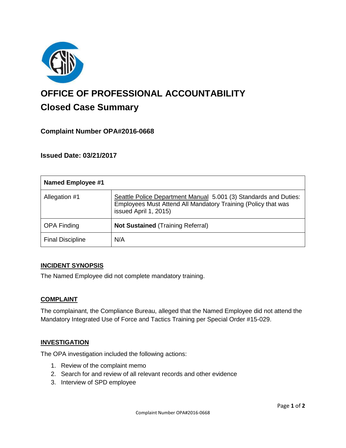

# **OFFICE OF PROFESSIONAL ACCOUNTABILITY Closed Case Summary**

## **Complaint Number OPA#2016-0668**

## **Issued Date: 03/21/2017**

| <b>Named Employee #1</b> |                                                                                                                                                            |
|--------------------------|------------------------------------------------------------------------------------------------------------------------------------------------------------|
| Allegation #1            | Seattle Police Department Manual 5.001 (3) Standards and Duties:<br>Employees Must Attend All Mandatory Training (Policy that was<br>issued April 1, 2015) |
| <b>OPA Finding</b>       | <b>Not Sustained (Training Referral)</b>                                                                                                                   |
| <b>Final Discipline</b>  | N/A                                                                                                                                                        |

#### **INCIDENT SYNOPSIS**

The Named Employee did not complete mandatory training.

#### **COMPLAINT**

The complainant, the Compliance Bureau, alleged that the Named Employee did not attend the Mandatory Integrated Use of Force and Tactics Training per Special Order #15-029.

#### **INVESTIGATION**

The OPA investigation included the following actions:

- 1. Review of the complaint memo
- 2. Search for and review of all relevant records and other evidence
- 3. Interview of SPD employee